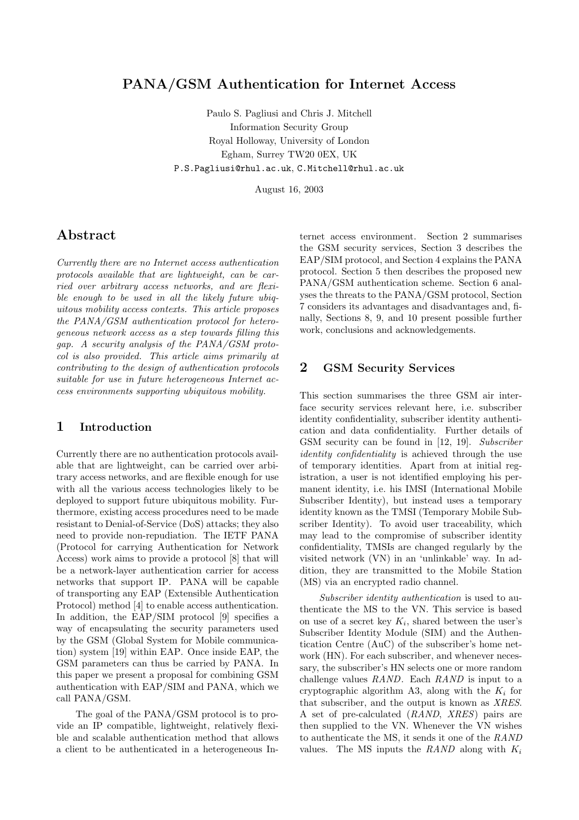# PANA/GSM Authentication for Internet Access

Paulo S. Pagliusi and Chris J. Mitchell Information Security Group Royal Holloway, University of London Egham, Surrey TW20 0EX, UK P.S.Pagliusi@rhul.ac.uk, C.Mitchell@rhul.ac.uk

August 16, 2003

# Abstract

Currently there are no Internet access authentication protocols available that are lightweight, can be carried over arbitrary access networks, and are flexible enough to be used in all the likely future ubiquitous mobility access contexts. This article proposes the PANA/GSM authentication protocol for heterogeneous network access as a step towards filling this gap. A security analysis of the PANA/GSM protocol is also provided. This article aims primarily at contributing to the design of authentication protocols suitable for use in future heterogeneous Internet access environments supporting ubiquitous mobility.

## 1 Introduction

Currently there are no authentication protocols available that are lightweight, can be carried over arbitrary access networks, and are flexible enough for use with all the various access technologies likely to be deployed to support future ubiquitous mobility. Furthermore, existing access procedures need to be made resistant to Denial-of-Service (DoS) attacks; they also need to provide non-repudiation. The IETF PANA (Protocol for carrying Authentication for Network Access) work aims to provide a protocol [8] that will be a network-layer authentication carrier for access networks that support IP. PANA will be capable of transporting any EAP (Extensible Authentication Protocol) method [4] to enable access authentication. In addition, the EAP/SIM protocol [9] specifies a way of encapsulating the security parameters used by the GSM (Global System for Mobile communication) system [19] within EAP. Once inside EAP, the GSM parameters can thus be carried by PANA. In this paper we present a proposal for combining GSM authentication with EAP/SIM and PANA, which we call PANA/GSM.

The goal of the PANA/GSM protocol is to provide an IP compatible, lightweight, relatively flexible and scalable authentication method that allows a client to be authenticated in a heterogeneous Internet access environment. Section 2 summarises the GSM security services, Section 3 describes the EAP/SIM protocol, and Section 4 explains the PANA protocol. Section 5 then describes the proposed new PANA/GSM authentication scheme. Section 6 analyses the threats to the PANA/GSM protocol, Section 7 considers its advantages and disadvantages and, finally, Sections 8, 9, and 10 present possible further work, conclusions and acknowledgements.

### 2 GSM Security Services

This section summarises the three GSM air interface security services relevant here, i.e. subscriber identity confidentiality, subscriber identity authentication and data confidentiality. Further details of GSM security can be found in [12, 19]. Subscriber identity confidentiality is achieved through the use of temporary identities. Apart from at initial registration, a user is not identified employing his permanent identity, i.e. his IMSI (International Mobile Subscriber Identity), but instead uses a temporary identity known as the TMSI (Temporary Mobile Subscriber Identity). To avoid user traceability, which may lead to the compromise of subscriber identity confidentiality, TMSIs are changed regularly by the visited network (VN) in an 'unlinkable' way. In addition, they are transmitted to the Mobile Station (MS) via an encrypted radio channel.

Subscriber identity authentication is used to authenticate the MS to the VN. This service is based on use of a secret key  $K_i$ , shared between the user's Subscriber Identity Module (SIM) and the Authentication Centre (AuC) of the subscriber's home network (HN). For each subscriber, and whenever necessary, the subscriber's HN selects one or more random challenge values RAND. Each RAND is input to a cryptographic algorithm A3, along with the  $K_i$  for that subscriber, and the output is known as XRES. A set of pre-calculated (RAND, XRES) pairs are then supplied to the VN. Whenever the VN wishes to authenticate the MS, it sends it one of the RAND values. The MS inputs the RAND along with  $K_i$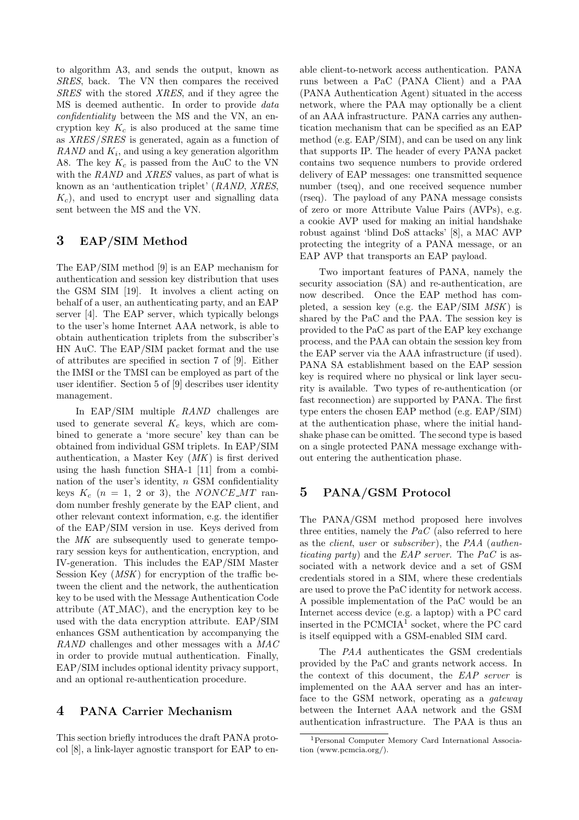to algorithm A3, and sends the output, known as SRES, back. The VN then compares the received SRES with the stored XRES, and if they agree the MS is deemed authentic. In order to provide data confidentiality between the MS and the VN, an encryption key  $K_c$  is also produced at the same time as XRES/SRES is generated, again as a function of  $RAND$  and  $K_i$ , and using a key generation algorithm A8. The key  $K_c$  is passed from the AuC to the VN with the RAND and XRES values, as part of what is known as an 'authentication triplet' (RAND, XRES,  $K_c$ , and used to encrypt user and signalling data sent between the MS and the VN.

## 3 EAP/SIM Method

The EAP/SIM method [9] is an EAP mechanism for authentication and session key distribution that uses the GSM SIM [19]. It involves a client acting on behalf of a user, an authenticating party, and an EAP server [4]. The EAP server, which typically belongs to the user's home Internet AAA network, is able to obtain authentication triplets from the subscriber's HN AuC. The EAP/SIM packet format and the use of attributes are specified in section 7 of [9]. Either the IMSI or the TMSI can be employed as part of the user identifier. Section 5 of [9] describes user identity management.

In EAP/SIM multiple RAND challenges are used to generate several  $K_c$  keys, which are combined to generate a 'more secure' key than can be obtained from individual GSM triplets. In EAP/SIM authentication, a Master Key  $(MK)$  is first derived using the hash function SHA-1 [11] from a combination of the user's identity,  $n$  GSM confidentiality keys  $K_c$   $(n = 1, 2 \text{ or } 3)$ , the NONCE\_MT random number freshly generate by the EAP client, and other relevant context information, e.g. the identifier of the EAP/SIM version in use. Keys derived from the MK are subsequently used to generate temporary session keys for authentication, encryption, and IV-generation. This includes the EAP/SIM Master Session Key  $(MSK)$  for encryption of the traffic between the client and the network, the authentication key to be used with the Message Authentication Code attribute (AT MAC), and the encryption key to be used with the data encryption attribute. EAP/SIM enhances GSM authentication by accompanying the RAND challenges and other messages with a MAC in order to provide mutual authentication. Finally, EAP/SIM includes optional identity privacy support, and an optional re-authentication procedure.

## 4 PANA Carrier Mechanism

This section briefly introduces the draft PANA protocol [8], a link-layer agnostic transport for EAP to enable client-to-network access authentication. PANA runs between a PaC (PANA Client) and a PAA (PANA Authentication Agent) situated in the access network, where the PAA may optionally be a client of an AAA infrastructure. PANA carries any authentication mechanism that can be specified as an EAP method (e.g. EAP/SIM), and can be used on any link that supports IP. The header of every PANA packet contains two sequence numbers to provide ordered delivery of EAP messages: one transmitted sequence number (tseq), and one received sequence number (rseq). The payload of any PANA message consists of zero or more Attribute Value Pairs (AVPs), e.g. a cookie AVP used for making an initial handshake robust against 'blind DoS attacks' [8], a MAC AVP protecting the integrity of a PANA message, or an EAP AVP that transports an EAP payload.

Two important features of PANA, namely the security association (SA) and re-authentication, are now described. Once the EAP method has completed, a session key (e.g. the EAP/SIM MSK) is shared by the PaC and the PAA. The session key is provided to the PaC as part of the EAP key exchange process, and the PAA can obtain the session key from the EAP server via the AAA infrastructure (if used). PANA SA establishment based on the EAP session key is required where no physical or link layer security is available. Two types of re-authentication (or fast reconnection) are supported by PANA. The first type enters the chosen EAP method (e.g. EAP/SIM) at the authentication phase, where the initial handshake phase can be omitted. The second type is based on a single protected PANA message exchange without entering the authentication phase.

### 5 PANA/GSM Protocol

The PANA/GSM method proposed here involves three entities, namely the  $PaC$  (also referred to here as the *client*, user or *subscriber*), the *PAA* (*authen*ticating party) and the EAP server. The PaC is associated with a network device and a set of GSM credentials stored in a SIM, where these credentials are used to prove the PaC identity for network access. A possible implementation of the PaC would be an Internet access device (e.g. a laptop) with a PC card inserted in the  $PCMCIA<sup>1</sup>$  socket, where the PC card is itself equipped with a GSM-enabled SIM card.

The PAA authenticates the GSM credentials provided by the PaC and grants network access. In the context of this document, the EAP server is implemented on the AAA server and has an interface to the GSM network, operating as a *gateway* between the Internet AAA network and the GSM authentication infrastructure. The PAA is thus an

<sup>1</sup>Personal Computer Memory Card International Association (www.pcmcia.org/).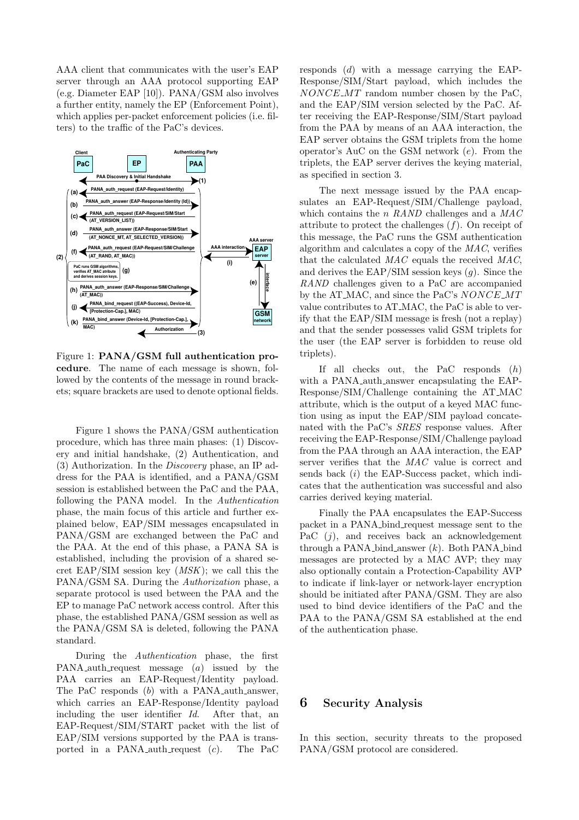AAA client that communicates with the user's EAP server through an AAA protocol supporting EAP (e.g. Diameter EAP [10]). PANA/GSM also involves a further entity, namely the EP (Enforcement Point), which applies per-packet enforcement policies (i.e. filters) to the traffic of the PaC's devices.



Figure 1: PANA/GSM full authentication procedure. The name of each message is shown, followed by the contents of the message in round brackets; square brackets are used to denote optional fields.

Figure 1 shows the PANA/GSM authentication procedure, which has three main phases: (1) Discovery and initial handshake, (2) Authentication, and (3) Authorization. In the Discovery phase, an IP address for the PAA is identified, and a PANA/GSM session is established between the PaC and the PAA, following the PANA model. In the Authentication phase, the main focus of this article and further explained below, EAP/SIM messages encapsulated in PANA/GSM are exchanged between the PaC and the PAA. At the end of this phase, a PANA SA is established, including the provision of a shared secret EAP/SIM session key (MSK); we call this the PANA/GSM SA. During the Authorization phase, a separate protocol is used between the PAA and the EP to manage PaC network access control. After this phase, the established PANA/GSM session as well as the PANA/GSM SA is deleted, following the PANA standard.

During the Authentication phase, the first PANA auth request message (a) issued by the PAA carries an EAP-Request/Identity payload. The PaC responds (b) with a PANA auth answer, which carries an EAP-Response/Identity payload including the user identifier Id. After that, an EAP-Request/SIM/START packet with the list of EAP/SIM versions supported by the PAA is transported in a PANA auth request  $(c)$ . The PaC

responds (d) with a message carrying the EAP-Response/SIM/Start payload, which includes the  $NONCE_MT$  random number chosen by the PaC, and the EAP/SIM version selected by the PaC. After receiving the EAP-Response/SIM/Start payload from the PAA by means of an AAA interaction, the EAP server obtains the GSM triplets from the home operator's AuC on the GSM network (e). From the triplets, the EAP server derives the keying material, as specified in section 3.

The next message issued by the PAA encapsulates an EAP-Request/SIM/Challenge payload, which contains the *n RAND* challenges and a  $MAC$ attribute to protect the challenges  $(f)$ . On receipt of this message, the PaC runs the GSM authentication algorithm and calculates a copy of the MAC, verifies that the calculated MAC equals the received MAC, and derives the  $EAP/SIM$  session keys  $(g)$ . Since the RAND challenges given to a PaC are accompanied by the AT MAC, and since the PaC's NONCE MT value contributes to AT MAC, the PaC is able to verify that the EAP/SIM message is fresh (not a replay) and that the sender possesses valid GSM triplets for the user (the EAP server is forbidden to reuse old triplets).

If all checks out, the PaC responds (h) with a PANA auth answer encapsulating the EAP-Response/SIM/Challenge containing the AT MAC attribute, which is the output of a keyed MAC function using as input the EAP/SIM payload concatenated with the PaC's SRES response values. After receiving the EAP-Response/SIM/Challenge payload from the PAA through an AAA interaction, the EAP server verifies that the MAC value is correct and sends back  $(i)$  the EAP-Success packet, which indicates that the authentication was successful and also carries derived keying material.

Finally the PAA encapsulates the EAP-Success packet in a PANA bind request message sent to the PaC  $(j)$ , and receives back an acknowledgement through a PANA bind answer  $(k)$ . Both PANA bind messages are protected by a MAC AVP; they may also optionally contain a Protection-Capability AVP to indicate if link-layer or network-layer encryption should be initiated after PANA/GSM. They are also used to bind device identifiers of the PaC and the PAA to the PANA/GSM SA established at the end of the authentication phase.

#### 6 Security Analysis

In this section, security threats to the proposed PANA/GSM protocol are considered.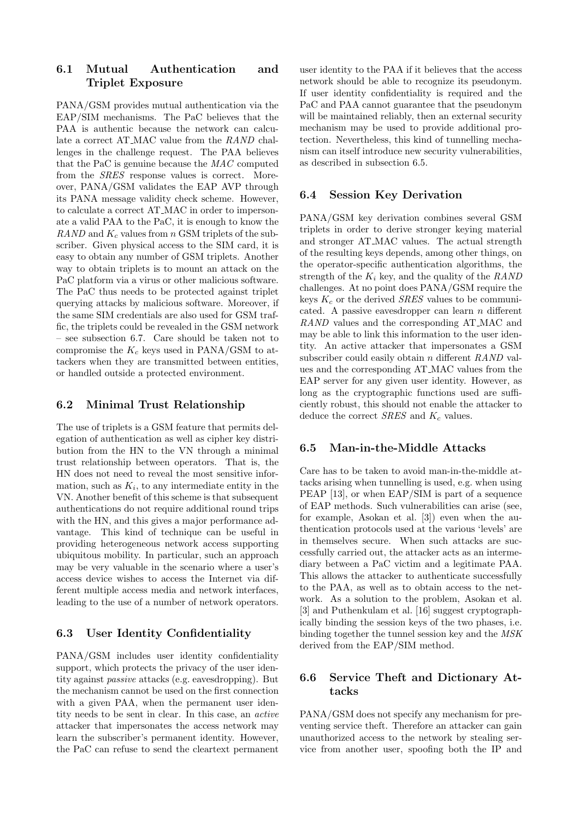## 6.1 Mutual Authentication and Triplet Exposure

PANA/GSM provides mutual authentication via the EAP/SIM mechanisms. The PaC believes that the PAA is authentic because the network can calculate a correct AT MAC value from the RAND challenges in the challenge request. The PAA believes that the PaC is genuine because the MAC computed from the SRES response values is correct. Moreover, PANA/GSM validates the EAP AVP through its PANA message validity check scheme. However, to calculate a correct AT MAC in order to impersonate a valid PAA to the PaC, it is enough to know the RAND and  $K_c$  values from n GSM triplets of the subscriber. Given physical access to the SIM card, it is easy to obtain any number of GSM triplets. Another way to obtain triplets is to mount an attack on the PaC platform via a virus or other malicious software. The PaC thus needs to be protected against triplet querying attacks by malicious software. Moreover, if the same SIM credentials are also used for GSM traffic, the triplets could be revealed in the GSM network – see subsection 6.7. Care should be taken not to compromise the  $K_c$  keys used in PANA/GSM to attackers when they are transmitted between entities, or handled outside a protected environment.

### 6.2 Minimal Trust Relationship

The use of triplets is a GSM feature that permits delegation of authentication as well as cipher key distribution from the HN to the VN through a minimal trust relationship between operators. That is, the HN does not need to reveal the most sensitive information, such as  $K_i$ , to any intermediate entity in the VN. Another benefit of this scheme is that subsequent authentications do not require additional round trips with the HN, and this gives a major performance advantage. This kind of technique can be useful in providing heterogeneous network access supporting ubiquitous mobility. In particular, such an approach may be very valuable in the scenario where a user's access device wishes to access the Internet via different multiple access media and network interfaces, leading to the use of a number of network operators.

### 6.3 User Identity Confidentiality

PANA/GSM includes user identity confidentiality support, which protects the privacy of the user identity against passive attacks (e.g. eavesdropping). But the mechanism cannot be used on the first connection with a given PAA, when the permanent user identity needs to be sent in clear. In this case, an active attacker that impersonates the access network may learn the subscriber's permanent identity. However, the PaC can refuse to send the cleartext permanent

user identity to the PAA if it believes that the access network should be able to recognize its pseudonym. If user identity confidentiality is required and the PaC and PAA cannot guarantee that the pseudonym will be maintained reliably, then an external security mechanism may be used to provide additional protection. Nevertheless, this kind of tunnelling mechanism can itself introduce new security vulnerabilities, as described in subsection 6.5.

#### 6.4 Session Key Derivation

PANA/GSM key derivation combines several GSM triplets in order to derive stronger keying material and stronger AT MAC values. The actual strength of the resulting keys depends, among other things, on the operator-specific authentication algorithms, the strength of the  $K_i$  key, and the quality of the  $RAND$ challenges. At no point does PANA/GSM require the keys  $K_c$  or the derived *SRES* values to be communicated. A passive eavesdropper can learn  $n$  different RAND values and the corresponding AT MAC and may be able to link this information to the user identity. An active attacker that impersonates a GSM subscriber could easily obtain n different RAND values and the corresponding AT MAC values from the EAP server for any given user identity. However, as long as the cryptographic functions used are sufficiently robust, this should not enable the attacker to deduce the correct  $SRES$  and  $K_c$  values.

#### 6.5 Man-in-the-Middle Attacks

Care has to be taken to avoid man-in-the-middle attacks arising when tunnelling is used, e.g. when using PEAP [13], or when EAP/SIM is part of a sequence of EAP methods. Such vulnerabilities can arise (see, for example, Asokan et al. [3]) even when the authentication protocols used at the various 'levels' are in themselves secure. When such attacks are successfully carried out, the attacker acts as an intermediary between a PaC victim and a legitimate PAA. This allows the attacker to authenticate successfully to the PAA, as well as to obtain access to the network. As a solution to the problem, Asokan et al. [3] and Puthenkulam et al. [16] suggest cryptographically binding the session keys of the two phases, i.e. binding together the tunnel session key and the MSK derived from the EAP/SIM method.

### 6.6 Service Theft and Dictionary Attacks

PANA/GSM does not specify any mechanism for preventing service theft. Therefore an attacker can gain unauthorized access to the network by stealing service from another user, spoofing both the IP and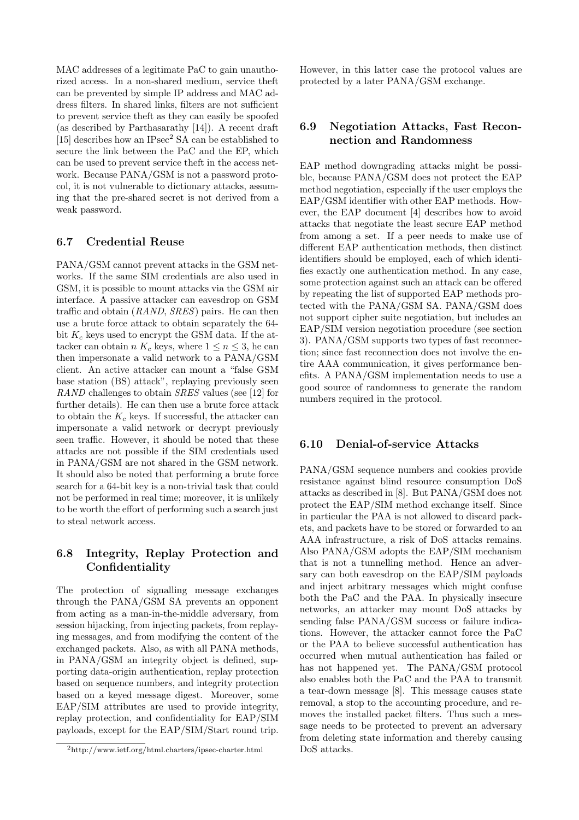MAC addresses of a legitimate PaC to gain unauthorized access. In a non-shared medium, service theft can be prevented by simple IP address and MAC address filters. In shared links, filters are not sufficient to prevent service theft as they can easily be spoofed (as described by Parthasarathy [14]). A recent draft [15] describes how an  $IPsec^2 SA$  can be established to secure the link between the PaC and the EP, which can be used to prevent service theft in the access network. Because PANA/GSM is not a password protocol, it is not vulnerable to dictionary attacks, assuming that the pre-shared secret is not derived from a weak password.

#### 6.7 Credential Reuse

PANA/GSM cannot prevent attacks in the GSM networks. If the same SIM credentials are also used in GSM, it is possible to mount attacks via the GSM air interface. A passive attacker can eavesdrop on GSM traffic and obtain (RAND, SRES) pairs. He can then use a brute force attack to obtain separately the 64 bit  $K_c$  keys used to encrypt the GSM data. If the attacker can obtain n  $K_c$  keys, where  $1 \le n \le 3$ , he can then impersonate a valid network to a PANA/GSM client. An active attacker can mount a "false GSM base station (BS) attack", replaying previously seen RAND challenges to obtain SRES values (see [12] for further details). He can then use a brute force attack to obtain the  $K_c$  keys. If successful, the attacker can impersonate a valid network or decrypt previously seen traffic. However, it should be noted that these attacks are not possible if the SIM credentials used in PANA/GSM are not shared in the GSM network. It should also be noted that performing a brute force search for a 64-bit key is a non-trivial task that could not be performed in real time; moreover, it is unlikely to be worth the effort of performing such a search just to steal network access.

## 6.8 Integrity, Replay Protection and Confidentiality

The protection of signalling message exchanges through the PANA/GSM SA prevents an opponent from acting as a man-in-the-middle adversary, from session hijacking, from injecting packets, from replaying messages, and from modifying the content of the exchanged packets. Also, as with all PANA methods, in PANA/GSM an integrity object is defined, supporting data-origin authentication, replay protection based on sequence numbers, and integrity protection based on a keyed message digest. Moreover, some EAP/SIM attributes are used to provide integrity, replay protection, and confidentiality for EAP/SIM payloads, except for the EAP/SIM/Start round trip.

However, in this latter case the protocol values are protected by a later PANA/GSM exchange.

## 6.9 Negotiation Attacks, Fast Reconnection and Randomness

EAP method downgrading attacks might be possible, because PANA/GSM does not protect the EAP method negotiation, especially if the user employs the EAP/GSM identifier with other EAP methods. However, the EAP document [4] describes how to avoid attacks that negotiate the least secure EAP method from among a set. If a peer needs to make use of different EAP authentication methods, then distinct identifiers should be employed, each of which identifies exactly one authentication method. In any case, some protection against such an attack can be offered by repeating the list of supported EAP methods protected with the PANA/GSM SA. PANA/GSM does not support cipher suite negotiation, but includes an EAP/SIM version negotiation procedure (see section 3). PANA/GSM supports two types of fast reconnection; since fast reconnection does not involve the entire AAA communication, it gives performance benefits. A PANA/GSM implementation needs to use a good source of randomness to generate the random numbers required in the protocol.

#### 6.10 Denial-of-service Attacks

PANA/GSM sequence numbers and cookies provide resistance against blind resource consumption DoS attacks as described in [8]. But PANA/GSM does not protect the EAP/SIM method exchange itself. Since in particular the PAA is not allowed to discard packets, and packets have to be stored or forwarded to an AAA infrastructure, a risk of DoS attacks remains. Also PANA/GSM adopts the EAP/SIM mechanism that is not a tunnelling method. Hence an adversary can both eavesdrop on the EAP/SIM payloads and inject arbitrary messages which might confuse both the PaC and the PAA. In physically insecure networks, an attacker may mount DoS attacks by sending false PANA/GSM success or failure indications. However, the attacker cannot force the PaC or the PAA to believe successful authentication has occurred when mutual authentication has failed or has not happened yet. The PANA/GSM protocol also enables both the PaC and the PAA to transmit a tear-down message [8]. This message causes state removal, a stop to the accounting procedure, and removes the installed packet filters. Thus such a message needs to be protected to prevent an adversary from deleting state information and thereby causing DoS attacks.

<sup>2</sup>http://www.ietf.org/html.charters/ipsec-charter.html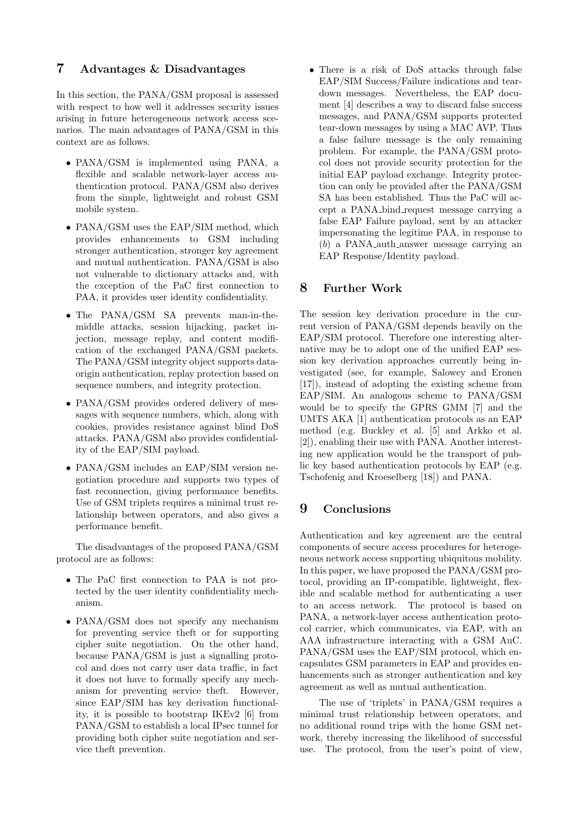## 7 Advantages & Disadvantages

In this section, the PANA/GSM proposal is assessed with respect to how well it addresses security issues arising in future heterogeneous network access scenarios. The main advantages of PANA/GSM in this context are as follows.

- PANA/GSM is implemented using PANA, a flexible and scalable network-layer access authentication protocol. PANA/GSM also derives from the simple, lightweight and robust GSM mobile system.
- PANA/GSM uses the EAP/SIM method, which provides enhancements to GSM including stronger authentication, stronger key agreement and mutual authentication. PANA/GSM is also not vulnerable to dictionary attacks and, with the exception of the PaC first connection to PAA, it provides user identity confidentiality.
- The PANA/GSM SA prevents man-in-themiddle attacks, session hijacking, packet injection, message replay, and content modification of the exchanged PANA/GSM packets. The PANA/GSM integrity object supports dataorigin authentication, replay protection based on sequence numbers, and integrity protection.
- PANA/GSM provides ordered delivery of messages with sequence numbers, which, along with cookies, provides resistance against blind DoS attacks. PANA/GSM also provides confidentiality of the EAP/SIM payload.
- PANA/GSM includes an EAP/SIM version negotiation procedure and supports two types of fast reconnection, giving performance benefits. Use of GSM triplets requires a minimal trust relationship between operators, and also gives a performance benefit.

The disadvantages of the proposed PANA/GSM protocol are as follows:

- The PaC first connection to PAA is not protected by the user identity confidentiality mechanism.
- PANA/GSM does not specify any mechanism for preventing service theft or for supporting cipher suite negotiation. On the other hand, because PANA/GSM is just a signalling protocol and does not carry user data traffic, in fact it does not have to formally specify any mechanism for preventing service theft. However, since EAP/SIM has key derivation functionality, it is possible to bootstrap IKEv2 [6] from PANA/GSM to establish a local IPsec tunnel for providing both cipher suite negotiation and service theft prevention.

• There is a risk of DoS attacks through false EAP/SIM Success/Failure indications and teardown messages. Nevertheless, the EAP document [4] describes a way to discard false success messages, and PANA/GSM supports protected tear-down messages by using a MAC AVP. Thus a false failure message is the only remaining problem. For example, the PANA/GSM protocol does not provide security protection for the initial EAP payload exchange. Integrity protection can only be provided after the PANA/GSM SA has been established. Thus the PaC will accept a PANA bind request message carrying a false EAP Failure payload, sent by an attacker impersonating the legitime PAA, in response to (b) a PANA auth answer message carrying an EAP Response/Identity payload.

## 8 Further Work

The session key derivation procedure in the current version of PANA/GSM depends heavily on the EAP/SIM protocol. Therefore one interesting alternative may be to adopt one of the unified EAP session key derivation approaches currently being investigated (see, for example, Salowey and Eronen [17]), instead of adopting the existing scheme from EAP/SIM. An analogous scheme to PANA/GSM would be to specify the GPRS GMM [7] and the UMTS AKA [1] authentication protocols as an EAP method (e.g. Buckley et al. [5] and Arkko et al. [2]), enabling their use with PANA. Another interesting new application would be the transport of public key based authentication protocols by EAP (e.g. Tschofenig and Kroeselberg [18]) and PANA.

## 9 Conclusions

Authentication and key agreement are the central components of secure access procedures for heterogeneous network access supporting ubiquitous mobility. In this paper, we have proposed the PANA/GSM protocol, providing an IP-compatible, lightweight, flexible and scalable method for authenticating a user to an access network. The protocol is based on PANA, a network-layer access authentication protocol carrier, which communicates, via EAP, with an AAA infrastructure interacting with a GSM AuC. PANA/GSM uses the EAP/SIM protocol, which encapsulates GSM parameters in EAP and provides enhancements such as stronger authentication and key agreement as well as mutual authentication.

The use of 'triplets' in PANA/GSM requires a minimal trust relationship between operators, and no additional round trips with the home GSM network, thereby increasing the likelihood of successful use. The protocol, from the user's point of view,